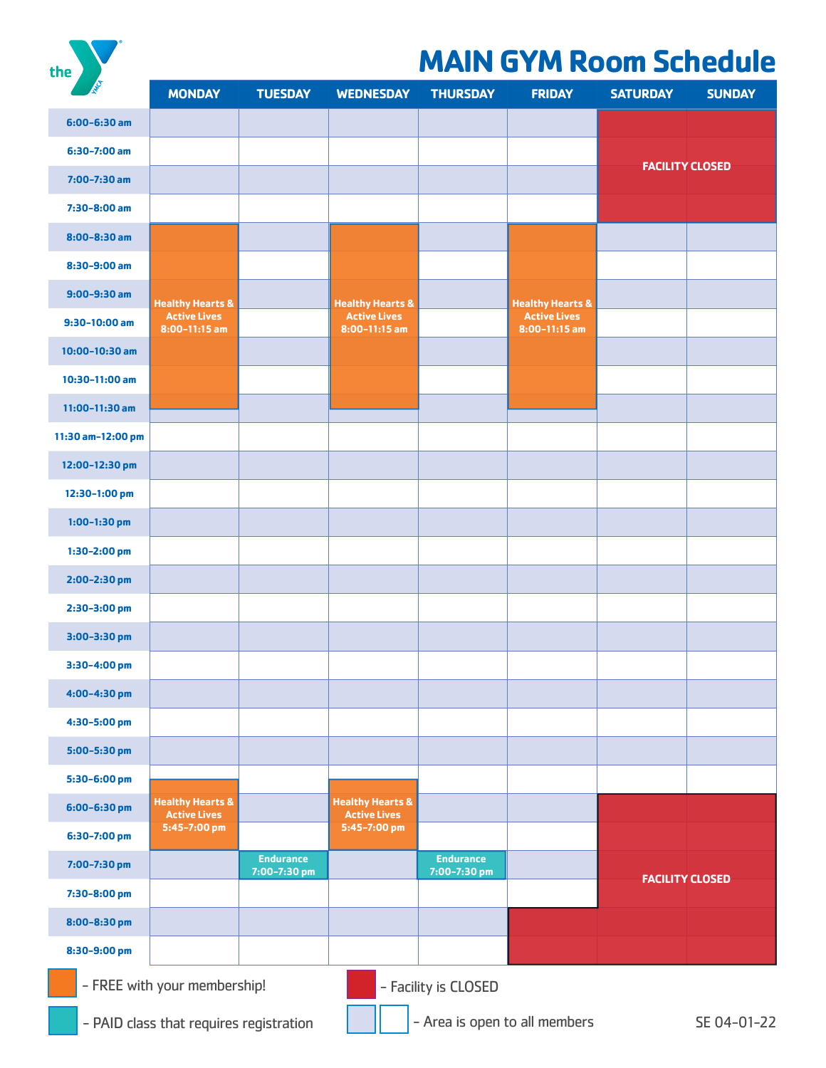the

## **MAIN GYM Room Schedule**

| RE                                                                       | <b>MONDAY</b>                                      | <b>TUESDAY</b>                   | <b>WEDNESDAY</b>                                   | <b>THURSDAY</b>                  | <b>FRIDAY</b>                          | <b>SATURDAY</b>        | <b>SUNDAY</b> |  |  |
|--------------------------------------------------------------------------|----------------------------------------------------|----------------------------------|----------------------------------------------------|----------------------------------|----------------------------------------|------------------------|---------------|--|--|
| $6:00 - 6:30$ am                                                         |                                                    |                                  |                                                    |                                  |                                        |                        |               |  |  |
| $6:30-7:00$ am                                                           |                                                    |                                  |                                                    |                                  |                                        |                        |               |  |  |
| $7:00 - 7:30$ am                                                         |                                                    |                                  |                                                    |                                  |                                        | <b>FACILITY CLOSED</b> |               |  |  |
| 7:30-8:00 am                                                             |                                                    |                                  |                                                    |                                  |                                        |                        |               |  |  |
| $8:00 - 8:30$ am                                                         |                                                    |                                  |                                                    |                                  |                                        |                        |               |  |  |
| 8:30-9:00 am                                                             |                                                    |                                  |                                                    |                                  |                                        |                        |               |  |  |
| $9:00 - 9:30$ am                                                         | <b>Healthy Hearts &amp;</b>                        |                                  | <b>Healthy Hearts &amp;</b>                        |                                  | <b>Healthy Hearts &amp;</b>            |                        |               |  |  |
| $9:30-10:00$ am                                                          | <b>Active Lives</b><br>$8:00-11:15$ am             |                                  | <b>Active Lives</b><br>$8:00-11:15$ am             |                                  | <b>Active Lives</b><br>$8:00-11:15$ am |                        |               |  |  |
| $10:00-10:30$ am                                                         |                                                    |                                  |                                                    |                                  |                                        |                        |               |  |  |
| 10:30-11:00 am                                                           |                                                    |                                  |                                                    |                                  |                                        |                        |               |  |  |
| $11:00-11:30$ am                                                         |                                                    |                                  |                                                    |                                  |                                        |                        |               |  |  |
| 11:30 am-12:00 pm                                                        |                                                    |                                  |                                                    |                                  |                                        |                        |               |  |  |
| 12:00-12:30 pm                                                           |                                                    |                                  |                                                    |                                  |                                        |                        |               |  |  |
| 12:30-1:00 pm                                                            |                                                    |                                  |                                                    |                                  |                                        |                        |               |  |  |
| $1:00-1:30$ pm                                                           |                                                    |                                  |                                                    |                                  |                                        |                        |               |  |  |
| $1:30-2:00$ pm                                                           |                                                    |                                  |                                                    |                                  |                                        |                        |               |  |  |
| 2:00-2:30 pm                                                             |                                                    |                                  |                                                    |                                  |                                        |                        |               |  |  |
| 2:30-3:00 pm                                                             |                                                    |                                  |                                                    |                                  |                                        |                        |               |  |  |
| 3:00-3:30 pm                                                             |                                                    |                                  |                                                    |                                  |                                        |                        |               |  |  |
| 3:30-4:00 pm                                                             |                                                    |                                  |                                                    |                                  |                                        |                        |               |  |  |
| 4:00-4:30 pm                                                             |                                                    |                                  |                                                    |                                  |                                        |                        |               |  |  |
| 4:30-5:00 pm                                                             |                                                    |                                  |                                                    |                                  |                                        |                        |               |  |  |
| 5:00-5:30 pm                                                             |                                                    |                                  |                                                    |                                  |                                        |                        |               |  |  |
| 5:30-6:00 pm                                                             |                                                    |                                  |                                                    |                                  |                                        |                        |               |  |  |
| 6:00-6:30 pm                                                             | <b>Healthy Hearts &amp;</b><br><b>Active Lives</b> |                                  | <b>Healthy Hearts &amp;</b><br><b>Active Lives</b> |                                  |                                        |                        |               |  |  |
| 6:30-7:00 pm                                                             | 5:45-7:00 pm                                       |                                  | 5:45-7:00 pm                                       |                                  |                                        |                        |               |  |  |
| 7:00-7:30 pm                                                             |                                                    | <b>Endurance</b><br>7:00-7:30 pm |                                                    | <b>Endurance</b><br>7:00-7:30 pm |                                        |                        |               |  |  |
| 7:30-8:00 pm                                                             |                                                    |                                  |                                                    |                                  |                                        | <b>FACILITY CLOSED</b> |               |  |  |
| 8:00-8:30 pm                                                             |                                                    |                                  |                                                    |                                  |                                        |                        |               |  |  |
| 8:30-9:00 pm                                                             |                                                    |                                  |                                                    |                                  |                                        |                        |               |  |  |
| - FREE with your membership!<br>- Facility is CLOSED                     |                                                    |                                  |                                                    |                                  |                                        |                        |               |  |  |
| - Area is open to all members<br>- PAID class that requires registration |                                                    |                                  |                                                    |                                  |                                        |                        | SE 04-01-22   |  |  |